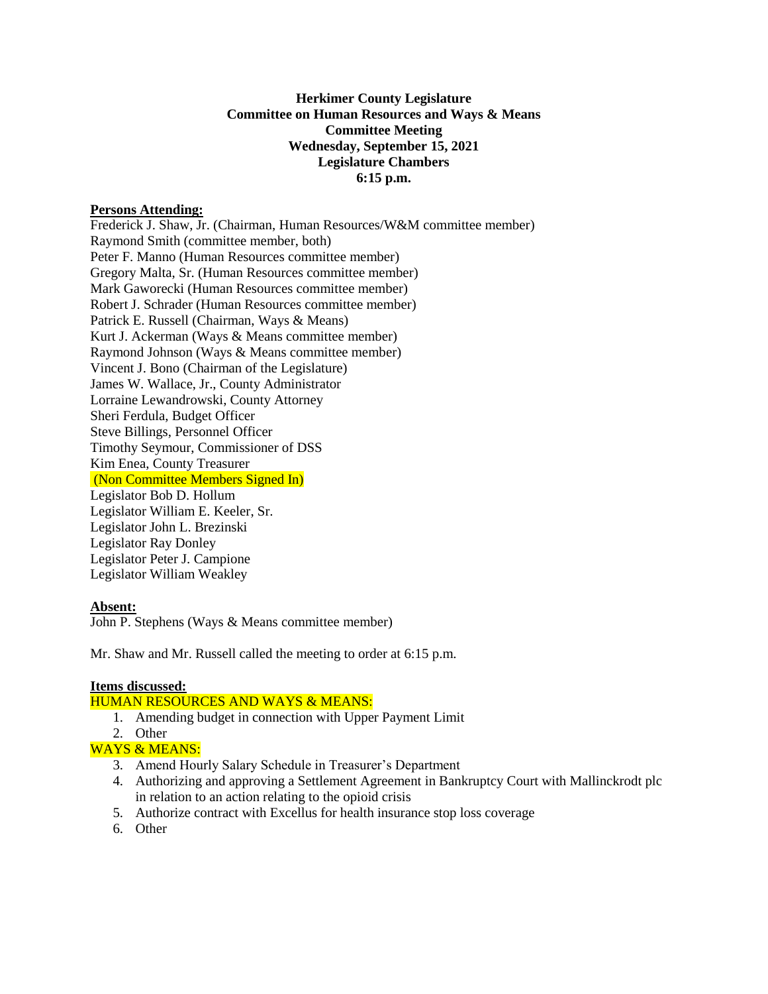# **Herkimer County Legislature Committee on Human Resources and Ways & Means Committee Meeting Wednesday, September 15, 2021 Legislature Chambers 6:15 p.m.**

### **Persons Attending:**

Frederick J. Shaw, Jr. (Chairman, Human Resources/W&M committee member) Raymond Smith (committee member, both) Peter F. Manno (Human Resources committee member) Gregory Malta, Sr. (Human Resources committee member) Mark Gaworecki (Human Resources committee member) Robert J. Schrader (Human Resources committee member) Patrick E. Russell (Chairman, Ways & Means) Kurt J. Ackerman (Ways & Means committee member) Raymond Johnson (Ways & Means committee member) Vincent J. Bono (Chairman of the Legislature) James W. Wallace, Jr., County Administrator Lorraine Lewandrowski, County Attorney Sheri Ferdula, Budget Officer Steve Billings, Personnel Officer Timothy Seymour, Commissioner of DSS Kim Enea, County Treasurer (Non Committee Members Signed In) Legislator Bob D. Hollum Legislator William E. Keeler, Sr. Legislator John L. Brezinski Legislator Ray Donley Legislator Peter J. Campione Legislator William Weakley

#### **Absent:**

John P. Stephens (Ways & Means committee member)

Mr. Shaw and Mr. Russell called the meeting to order at 6:15 p.m.

## **Items discussed:**

## HUMAN RESOURCES AND WAYS & MEANS:

- 1. Amending budget in connection with Upper Payment Limit
- 2. Other

# WAYS & MEANS:

- 3. Amend Hourly Salary Schedule in Treasurer's Department
- 4. Authorizing and approving a Settlement Agreement in Bankruptcy Court with Mallinckrodt plc in relation to an action relating to the opioid crisis
- 5. Authorize contract with Excellus for health insurance stop loss coverage
- 6. Other